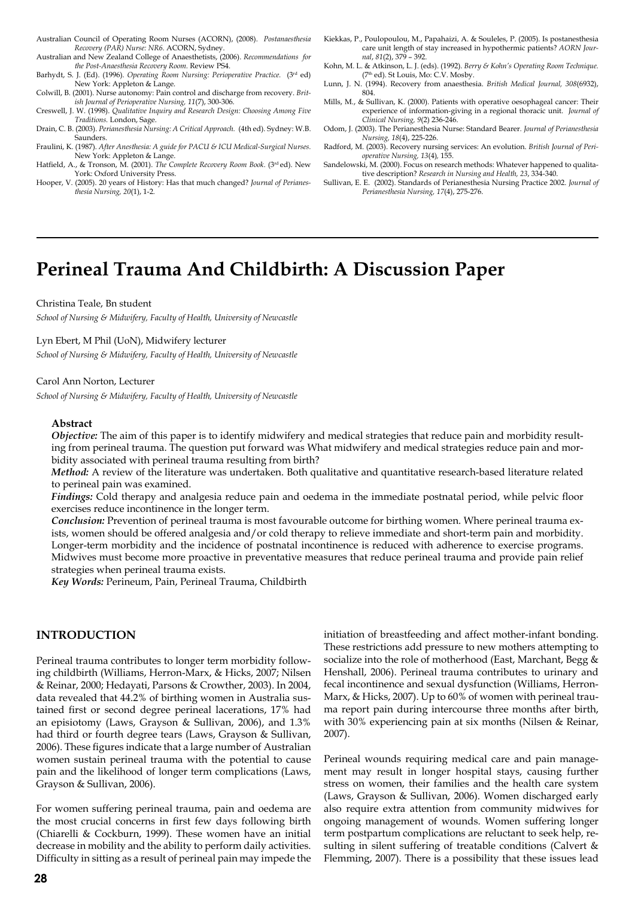- Australian Council of Operating Room Nurses (ACORN), (2008). *Postanaesthesia Recovery (PAR) Nurse: NR6.* ACORN, Sydney.
- Australian and New Zealand College of Anaesthetists, (2006). *Recommendations for the Post-Anaesthesia Recovery Room.* Review PS4.
- Barhydt, S. J. (Ed). (1996). *Operating Room Nursing: Perioperative Practice.* (3rd ed) New York: Appleton & Lange.
- Colwill, B. (2001). Nurse autonomy: Pain control and discharge from recovery. *British Journal of Perioperative Nursing, 11*(7), 300-306.
- Creswell, J. W. (1998). *Qualitative Inquiry and Research Design: Choosing Among Five Traditions.* London, Sage.
- Drain, C. B. (2003). *Perianesthesia Nursing: A Critical Approach.* (4th ed). Sydney: W.B. Saunders.
- Fraulini, K. (1987). *After Anesthesia: A guide for PACU & ICU Medical-Surgical Nurses.*  New York: Appleton & Lange. Hatfield, A., & Tronson, M. (2001). *The Complete Recovery Room Book.* (3rd ed). New
- York: Oxford University Press.
- Hooper, V. (2005). 20 years of History: Has that much changed? *Journal of Perianesthesia Nursing, 20*(1), 1-2*.*
- Kiekkas, P., Poulopoulou, M., Papahaizi, A. & Souleles, P. (2005). Is postanesthesia care unit length of stay increased in hypothermic patients? *AORN Journal*, *81*(2), 379 – 392.
- Kohn, M. L. & Atkinson, L. J. (eds). (1992). *Berry & Kohn's Operating Room Technique.*  (7th ed). St Louis, Mo: C.V. Mosby.
- Lunn, J. N. (1994). Recovery from anaesthesia. *British Medical Journal, 308*(6932), 804.
- Mills, M., & Sullivan, K. (2000). Patients with operative oesophageal cancer: Their experience of information-giving in a regional thoracic unit. *Journal of Clinical Nursing, 9*(2) 236-246.
- Odom, J. (2003). The Perianesthesia Nurse: Standard Bearer*. Journal of Perianesthesia Nursing, 18*(4), 225-226.
- Radford, M. (2003). Recovery nursing services: An evolution. *British Journal of Perioperative Nursing, 13*(4)*,* 155.
- Sandelowski, M. (2000). Focus on research methods: Whatever happened to qualitative description? *Research in Nursing and Health, 23*, 334-340.
- Sullivan, E. E. (2002). Standards of Perianesthesia Nursing Practice 2002. *Journal of Perianesthesia Nursing, 17*(4), 275-276.

# **Perineal Trauma And Childbirth: A Discussion Paper**

#### Christina Teale, Bn student

*School of Nursing & Midwifery, Faculty of Health, University of Newcastle* 

#### Lyn Ebert, M Phil (UoN), Midwifery lecturer

*School of Nursing & Midwifery, Faculty of Health, University of Newcastle* 

#### Carol Ann Norton, Lecturer

*School of Nursing & Midwifery, Faculty of Health, University of Newcastle* 

#### **Abstract**

*Objective:* The aim of this paper is to identify midwifery and medical strategies that reduce pain and morbidity resulting from perineal trauma. The question put forward was What midwifery and medical strategies reduce pain and morbidity associated with perineal trauma resulting from birth?

*Method:* A review of the literature was undertaken. Both qualitative and quantitative research-based literature related to perineal pain was examined.

*Findings:* Cold therapy and analgesia reduce pain and oedema in the immediate postnatal period, while pelvic floor exercises reduce incontinence in the longer term.

*Conclusion:* Prevention of perineal trauma is most favourable outcome for birthing women. Where perineal trauma exists, women should be offered analgesia and/or cold therapy to relieve immediate and short-term pain and morbidity. Longer-term morbidity and the incidence of postnatal incontinence is reduced with adherence to exercise programs. Midwives must become more proactive in preventative measures that reduce perineal trauma and provide pain relief strategies when perineal trauma exists.

*Key Words:* Perineum, Pain, Perineal Trauma, Childbirth

## **INTRODUCTION**

Perineal trauma contributes to longer term morbidity following childbirth (Williams, Herron-Marx, & Hicks, 2007; Nilsen & Reinar, 2000; Hedayati, Parsons & Crowther, 2003). In 2004, data revealed that 44.2% of birthing women in Australia sustained first or second degree perineal lacerations, 17% had an episiotomy (Laws, Grayson & Sullivan, 2006), and 1.3% had third or fourth degree tears (Laws, Grayson & Sullivan, 2006). These figures indicate that a large number of Australian women sustain perineal trauma with the potential to cause pain and the likelihood of longer term complications (Laws, Grayson & Sullivan, 2006).

For women suffering perineal trauma, pain and oedema are the most crucial concerns in first few days following birth (Chiarelli & Cockburn, 1999). These women have an initial decrease in mobility and the ability to perform daily activities. Difficulty in sitting as a result of perineal pain may impede the initiation of breastfeeding and affect mother-infant bonding. These restrictions add pressure to new mothers attempting to socialize into the role of motherhood (East, Marchant, Begg & Henshall, 2006). Perineal trauma contributes to urinary and fecal incontinence and sexual dysfunction (Williams, Herron-Marx, & Hicks, 2007). Up to 60% of women with perineal trauma report pain during intercourse three months after birth, with 30% experiencing pain at six months (Nilsen & Reinar, 2007).

Perineal wounds requiring medical care and pain management may result in longer hospital stays, causing further stress on women, their families and the health care system (Laws, Grayson & Sullivan, 2006). Women discharged early also require extra attention from community midwives for ongoing management of wounds. Women suffering longer term postpartum complications are reluctant to seek help, resulting in silent suffering of treatable conditions (Calvert & Flemming, 2007). There is a possibility that these issues lead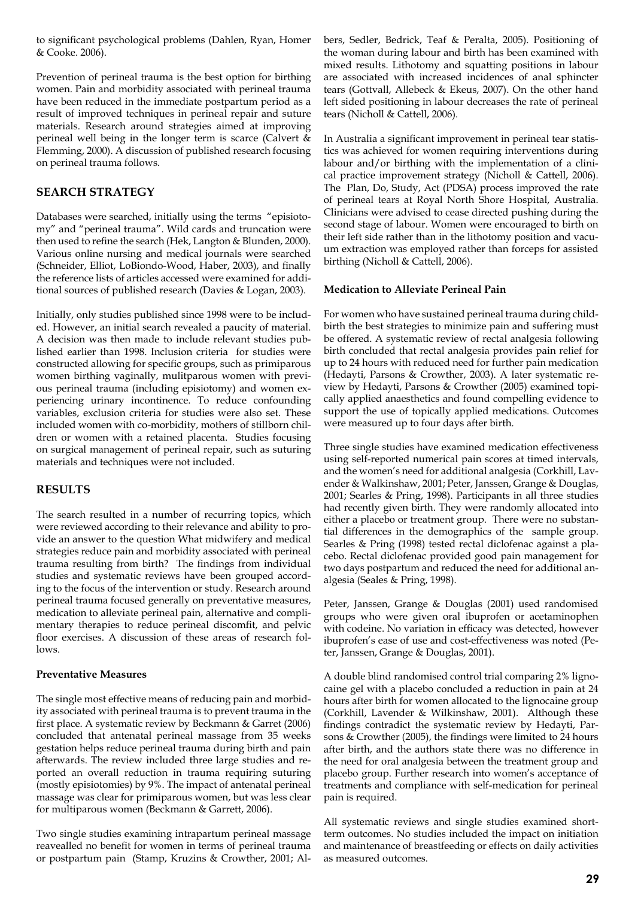to significant psychological problems (Dahlen, Ryan, Homer & Cooke. 2006).

Prevention of perineal trauma is the best option for birthing women. Pain and morbidity associated with perineal trauma have been reduced in the immediate postpartum period as a result of improved techniques in perineal repair and suture materials. Research around strategies aimed at improving perineal well being in the longer term is scarce (Calvert & Flemming, 2000). A discussion of published research focusing on perineal trauma follows.

# **SEARCH STRATEGY**

Databases were searched, initially using the terms "episiotomy" and "perineal trauma". Wild cards and truncation were then used to refine the search (Hek, Langton & Blunden, 2000). Various online nursing and medical journals were searched (Schneider, Elliot, LoBiondo-Wood, Haber, 2003), and finally the reference lists of articles accessed were examined for additional sources of published research (Davies & Logan, 2003).

Initially, only studies published since 1998 were to be included. However, an initial search revealed a paucity of material. A decision was then made to include relevant studies published earlier than 1998. Inclusion criteria for studies were constructed allowing for specific groups, such as primiparous women birthing vaginally, mulitparous women with previous perineal trauma (including episiotomy) and women experiencing urinary incontinence. To reduce confounding variables, exclusion criteria for studies were also set. These included women with co-morbidity, mothers of stillborn children or women with a retained placenta. Studies focusing on surgical management of perineal repair, such as suturing materials and techniques were not included.

# **RESULTS**

The search resulted in a number of recurring topics, which were reviewed according to their relevance and ability to provide an answer to the question What midwifery and medical strategies reduce pain and morbidity associated with perineal trauma resulting from birth? The findings from individual studies and systematic reviews have been grouped according to the focus of the intervention or study. Research around perineal trauma focused generally on preventative measures, medication to alleviate perineal pain, alternative and complimentary therapies to reduce perineal discomfit, and pelvic floor exercises. A discussion of these areas of research follows.

## **Preventative Measures**

The single most effective means of reducing pain and morbidity associated with perineal trauma is to prevent trauma in the first place. A systematic review by Beckmann & Garret (2006) concluded that antenatal perineal massage from 35 weeks gestation helps reduce perineal trauma during birth and pain afterwards. The review included three large studies and reported an overall reduction in trauma requiring suturing (mostly episiotomies) by 9%. The impact of antenatal perineal massage was clear for primiparous women, but was less clear for multiparous women (Beckmann & Garrett, 2006).

Two single studies examining intrapartum perineal massage reavealled no benefit for women in terms of perineal trauma or postpartum pain (Stamp, Kruzins & Crowther, 2001; Albers, Sedler, Bedrick, Teaf & Peralta, 2005). Positioning of the woman during labour and birth has been examined with mixed results. Lithotomy and squatting positions in labour are associated with increased incidences of anal sphincter tears (Gottvall, Allebeck & Ekeus, 2007). On the other hand left sided positioning in labour decreases the rate of perineal tears (Nicholl & Cattell, 2006).

In Australia a significant improvement in perineal tear statistics was achieved for women requiring interventions during labour and/or birthing with the implementation of a clinical practice improvement strategy (Nicholl & Cattell, 2006). The Plan, Do, Study, Act (PDSA) process improved the rate of perineal tears at Royal North Shore Hospital, Australia. Clinicians were advised to cease directed pushing during the second stage of labour. Women were encouraged to birth on their left side rather than in the lithotomy position and vacuum extraction was employed rather than forceps for assisted birthing (Nicholl & Cattell, 2006).

## **Medication to Alleviate Perineal Pain**

For women who have sustained perineal trauma during childbirth the best strategies to minimize pain and suffering must be offered. A systematic review of rectal analgesia following birth concluded that rectal analgesia provides pain relief for up to 24 hours with reduced need for further pain medication (Hedayti, Parsons & Crowther, 2003). A later systematic review by Hedayti, Parsons & Crowther (2005) examined topically applied anaesthetics and found compelling evidence to support the use of topically applied medications. Outcomes were measured up to four days after birth.

Three single studies have examined medication effectiveness using self-reported numerical pain scores at timed intervals, and the women's need for additional analgesia (Corkhill, Lavender & Walkinshaw, 2001; Peter, Janssen, Grange & Douglas, 2001; Searles & Pring, 1998). Participants in all three studies had recently given birth. They were randomly allocated into either a placebo or treatment group. There were no substantial differences in the demographics of the sample group. Searles & Pring (1998) tested rectal diclofenac against a placebo. Rectal diclofenac provided good pain management for two days postpartum and reduced the need for additional analgesia (Seales & Pring, 1998).

Peter, Janssen, Grange & Douglas (2001) used randomised groups who were given oral ibuprofen or acetaminophen with codeine. No variation in efficacy was detected, however ibuprofen's ease of use and cost-effectiveness was noted (Peter, Janssen, Grange & Douglas, 2001).

A double blind randomised control trial comparing 2% lignocaine gel with a placebo concluded a reduction in pain at 24 hours after birth for women allocated to the lignocaine group (Corkhill, Lavender & Wilkinshaw, 2001). Although these findings contradict the systematic review by Hedayti, Parsons & Crowther (2005), the findings were limited to 24 hours after birth, and the authors state there was no difference in the need for oral analgesia between the treatment group and placebo group. Further research into women's acceptance of treatments and compliance with self-medication for perineal pain is required.

All systematic reviews and single studies examined shortterm outcomes. No studies included the impact on initiation and maintenance of breastfeeding or effects on daily activities as measured outcomes.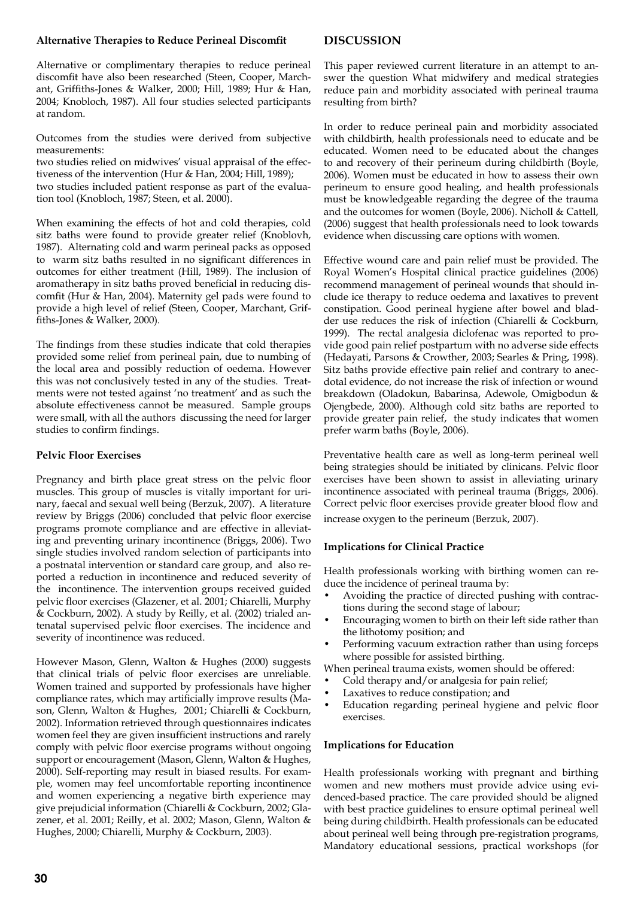## **Alternative Therapies to Reduce Perineal Discomfit**

## **DISCUSSION**

Alternative or complimentary therapies to reduce perineal discomfit have also been researched (Steen, Cooper, Marchant, Griffiths-Jones & Walker, 2000; Hill, 1989; Hur & Han, 2004; Knobloch, 1987). All four studies selected participants at random.

Outcomes from the studies were derived from subjective measurements:

two studies relied on midwives' visual appraisal of the effectiveness of the intervention (Hur & Han, 2004; Hill, 1989);

two studies included patient response as part of the evaluation tool (Knobloch, 1987; Steen, et al. 2000).

When examining the effects of hot and cold therapies, cold sitz baths were found to provide greater relief (Knoblovh, 1987). Alternating cold and warm perineal packs as opposed to warm sitz baths resulted in no significant differences in outcomes for either treatment (Hill, 1989). The inclusion of aromatherapy in sitz baths proved beneficial in reducing discomfit (Hur & Han, 2004). Maternity gel pads were found to provide a high level of relief (Steen, Cooper, Marchant, Griffiths-Jones & Walker, 2000).

The findings from these studies indicate that cold therapies provided some relief from perineal pain, due to numbing of the local area and possibly reduction of oedema. However this was not conclusively tested in any of the studies. Treatments were not tested against 'no treatment' and as such the absolute effectiveness cannot be measured. Sample groups were small, with all the authors discussing the need for larger studies to confirm findings.

## **Pelvic Floor Exercises**

Pregnancy and birth place great stress on the pelvic floor muscles. This group of muscles is vitally important for urinary, faecal and sexual well being (Berzuk, 2007). A literature review by Briggs (2006) concluded that pelvic floor exercise programs promote compliance and are effective in alleviating and preventing urinary incontinence (Briggs, 2006). Two single studies involved random selection of participants into a postnatal intervention or standard care group, and also reported a reduction in incontinence and reduced severity of the incontinence. The intervention groups received guided pelvic floor exercises (Glazener, et al. 2001; Chiarelli, Murphy & Cockburn, 2002). A study by Reilly, et al. (2002) trialed antenatal supervised pelvic floor exercises. The incidence and severity of incontinence was reduced.

However Mason, Glenn, Walton & Hughes (2000) suggests that clinical trials of pelvic floor exercises are unreliable. Women trained and supported by professionals have higher compliance rates, which may artificially improve results (Mason, Glenn, Walton & Hughes, 2001; Chiarelli & Cockburn, 2002). Information retrieved through questionnaires indicates women feel they are given insufficient instructions and rarely comply with pelvic floor exercise programs without ongoing support or encouragement (Mason, Glenn, Walton & Hughes, 2000). Self-reporting may result in biased results. For example, women may feel uncomfortable reporting incontinence and women experiencing a negative birth experience may give prejudicial information (Chiarelli & Cockburn, 2002; Glazener, et al. 2001; Reilly, et al. 2002; Mason, Glenn, Walton & Hughes, 2000; Chiarelli, Murphy & Cockburn, 2003).

This paper reviewed current literature in an attempt to answer the question What midwifery and medical strategies reduce pain and morbidity associated with perineal trauma resulting from birth?

In order to reduce perineal pain and morbidity associated with childbirth, health professionals need to educate and be educated. Women need to be educated about the changes to and recovery of their perineum during childbirth (Boyle, 2006). Women must be educated in how to assess their own perineum to ensure good healing, and health professionals must be knowledgeable regarding the degree of the trauma and the outcomes for women (Boyle, 2006). Nicholl & Cattell, (2006) suggest that health professionals need to look towards evidence when discussing care options with women.

Effective wound care and pain relief must be provided. The Royal Women's Hospital clinical practice guidelines (2006) recommend management of perineal wounds that should include ice therapy to reduce oedema and laxatives to prevent constipation. Good perineal hygiene after bowel and bladder use reduces the risk of infection (Chiarelli & Cockburn, 1999). The rectal analgesia diclofenac was reported to provide good pain relief postpartum with no adverse side effects (Hedayati, Parsons & Crowther, 2003; Searles & Pring, 1998). Sitz baths provide effective pain relief and contrary to anecdotal evidence, do not increase the risk of infection or wound breakdown (Oladokun, Babarinsa, Adewole, Omigbodun & Ojengbede, 2000). Although cold sitz baths are reported to provide greater pain relief, the study indicates that women prefer warm baths (Boyle, 2006).

Preventative health care as well as long-term perineal well being strategies should be initiated by clinicans. Pelvic floor exercises have been shown to assist in alleviating urinary incontinence associated with perineal trauma (Briggs, 2006). Correct pelvic floor exercises provide greater blood flow and increase oxygen to the perineum (Berzuk, 2007).

# **Implications for Clinical Practice**

Health professionals working with birthing women can reduce the incidence of perineal trauma by:

- Avoiding the practice of directed pushing with contractions during the second stage of labour;
- Encouraging women to birth on their left side rather than the lithotomy position; and
- Performing vacuum extraction rather than using forceps where possible for assisted birthing.
- When perineal trauma exists, women should be offered:
- Cold therapy and/or analgesia for pain relief;
- Laxatives to reduce constipation; and
- Education regarding perineal hygiene and pelvic floor exercises.

## **Implications for Education**

Health professionals working with pregnant and birthing women and new mothers must provide advice using evidenced-based practice. The care provided should be aligned with best practice guidelines to ensure optimal perineal well being during childbirth. Health professionals can be educated about perineal well being through pre-registration programs, Mandatory educational sessions, practical workshops (for